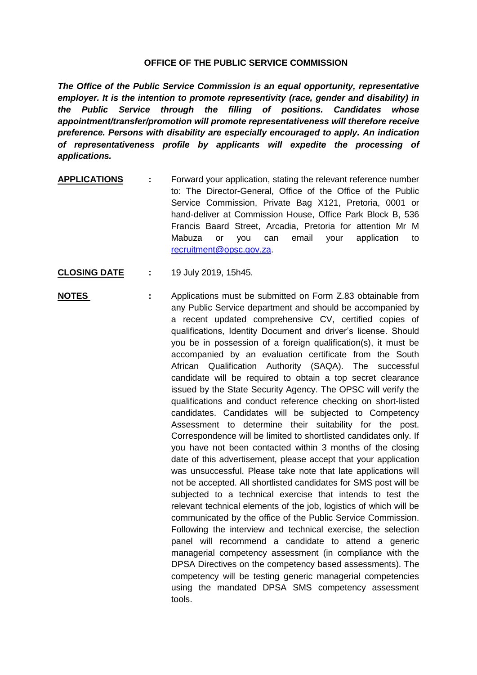## **OFFICE OF THE PUBLIC SERVICE COMMISSION**

*The Office of the Public Service Commission is an equal opportunity, representative employer. It is the intention to promote representivity (race, gender and disability) in the Public Service through the filling of positions. Candidates whose appointment/transfer/promotion will promote representativeness will therefore receive preference. Persons with disability are especially encouraged to apply. An indication of representativeness profile by applicants will expedite the processing of applications.*

- **APPLICATIONS :** Forward your application, stating the relevant reference number to: The Director-General, Office of the Office of the Public Service Commission, Private Bag X121, Pretoria, 0001 or hand-deliver at Commission House, Office Park Block B, 536 Francis Baard Street, Arcadia, Pretoria for attention Mr M Mabuza or you can email your application to [recruitment@opsc.gov.za.](mailto:recruitment@opsc.gov.za)
- **CLOSING DATE :** 19 July 2019, 15h45.
- **NOTES** : Applications must be submitted on Form Z.83 obtainable from any Public Service department and should be accompanied by a recent updated comprehensive CV, certified copies of qualifications, Identity Document and driver's license. Should you be in possession of a foreign qualification(s), it must be accompanied by an evaluation certificate from the South African Qualification Authority (SAQA). The successful candidate will be required to obtain a top secret clearance issued by the State Security Agency. The OPSC will verify the qualifications and conduct reference checking on short-listed candidates. Candidates will be subjected to Competency Assessment to determine their suitability for the post. Correspondence will be limited to shortlisted candidates only. If you have not been contacted within 3 months of the closing date of this advertisement, please accept that your application was unsuccessful. Please take note that late applications will not be accepted. All shortlisted candidates for SMS post will be subjected to a technical exercise that intends to test the relevant technical elements of the job, logistics of which will be communicated by the office of the Public Service Commission. Following the interview and technical exercise, the selection panel will recommend a candidate to attend a generic managerial competency assessment (in compliance with the DPSA Directives on the competency based assessments). The competency will be testing generic managerial competencies using the mandated DPSA SMS competency assessment tools.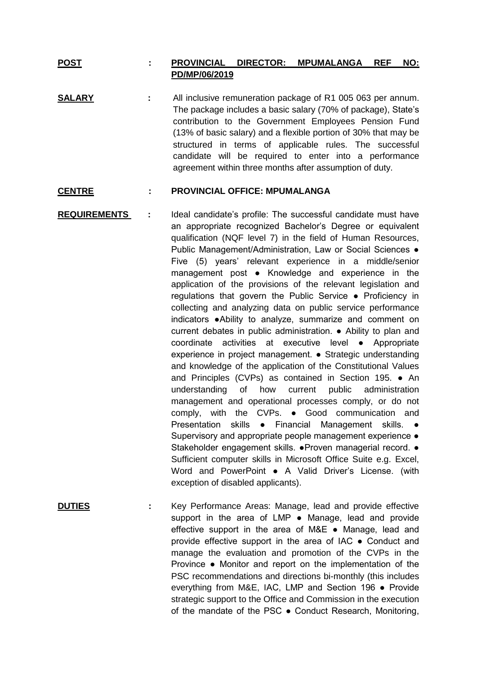## **POST : PROVINCIAL DIRECTOR: MPUMALANGA REF NO: PD/MP/06/2019**

**SALARY :** All inclusive remuneration package of R1 005 063 per annum. The package includes a basic salary (70% of package), State's contribution to the Government Employees Pension Fund (13% of basic salary) and a flexible portion of 30% that may be structured in terms of applicable rules. The successful candidate will be required to enter into a performance agreement within three months after assumption of duty.

## **CENTRE : PROVINCIAL OFFICE: MPUMALANGA**

**REQUIREMENTS :** Ideal candidate's profile: The successful candidate must have an appropriate recognized Bachelor's Degree or equivalent qualification (NQF level 7) in the field of Human Resources, Public Management/Administration, Law or Social Sciences ● Five (5) years' relevant experience in a middle/senior management post ● Knowledge and experience in the application of the provisions of the relevant legislation and regulations that govern the Public Service ● Proficiency in collecting and analyzing data on public service performance indicators ●Ability to analyze, summarize and comment on current debates in public administration. ● Ability to plan and coordinate activities at executive level ● Appropriate experience in project management. ● Strategic understanding and knowledge of the application of the Constitutional Values and Principles (CVPs) as contained in Section 195. ● An understanding of how current public administration management and operational processes comply, or do not comply, with the CVPs. ● Good communication and Presentation skills • Financial Management skills. • Supervisory and appropriate people management experience  $\bullet$ Stakeholder engagement skills. ●Proven managerial record. ● Sufficient computer skills in Microsoft Office Suite e.g. Excel, Word and PowerPoint • A Valid Driver's License. (with exception of disabled applicants).

**DUTIES :** Key Performance Areas: Manage, lead and provide effective support in the area of LMP • Manage, lead and provide effective support in the area of M&E ● Manage, lead and provide effective support in the area of IAC ● Conduct and manage the evaluation and promotion of the CVPs in the Province ● Monitor and report on the implementation of the PSC recommendations and directions bi-monthly (this includes everything from M&E, IAC, LMP and Section 196 ● Provide strategic support to the Office and Commission in the execution of the mandate of the PSC ● Conduct Research, Monitoring,